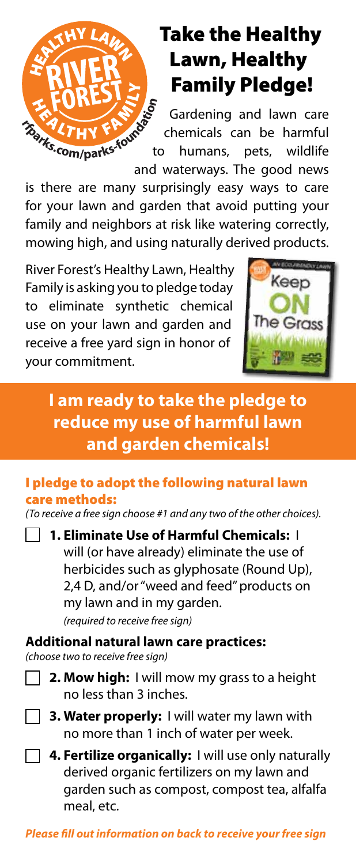

# Take the Healthy Lawn, Healthy Family Pledge!

Gardening and lawn care chemicals can be harmful to humans, pets, wildlife and waterways. The good news

is there are many surprisingly easy ways to care for your lawn and garden that avoid putting your family and neighbors at risk like watering correctly. mowing high, and using naturally derived products.

River Forest's Healthy Lawn, Healthy Family is asking you to pledge today to eliminate synthetic chemical use on your lawn and garden and receive a free yard sign in honor of your commitment.



### **I am ready to take the pledge to reduce my use of harmful lawn and garden chemicals!**

#### I pledge to adopt the following natural lawn care methods:

*(To receive a free sign choose #1 and any two of the other choices).*

**1. Eliminate Use of Harmful Chemicals:** I will (or have already) eliminate the use of herbicides such as glyphosate (Round Up), 2,4 D, and/or "weed and feed" products on my lawn and in my garden. *(required to receive free sign)*

**Additional natural lawn care practices:**

- *(choose two to receive free sign)*
	- **2. Mow high:** I will mow my grass to a height no less than 3 inches.
	- **3. Water properly:** I will water my lawn with no more than 1 inch of water per week.
	- **4. Fertilize organically:** I will use only naturally derived organic fertilizers on my lawn and garden such as compost, compost tea, alfalfa meal, etc.

*Please fill out information on back to receive your free sign*